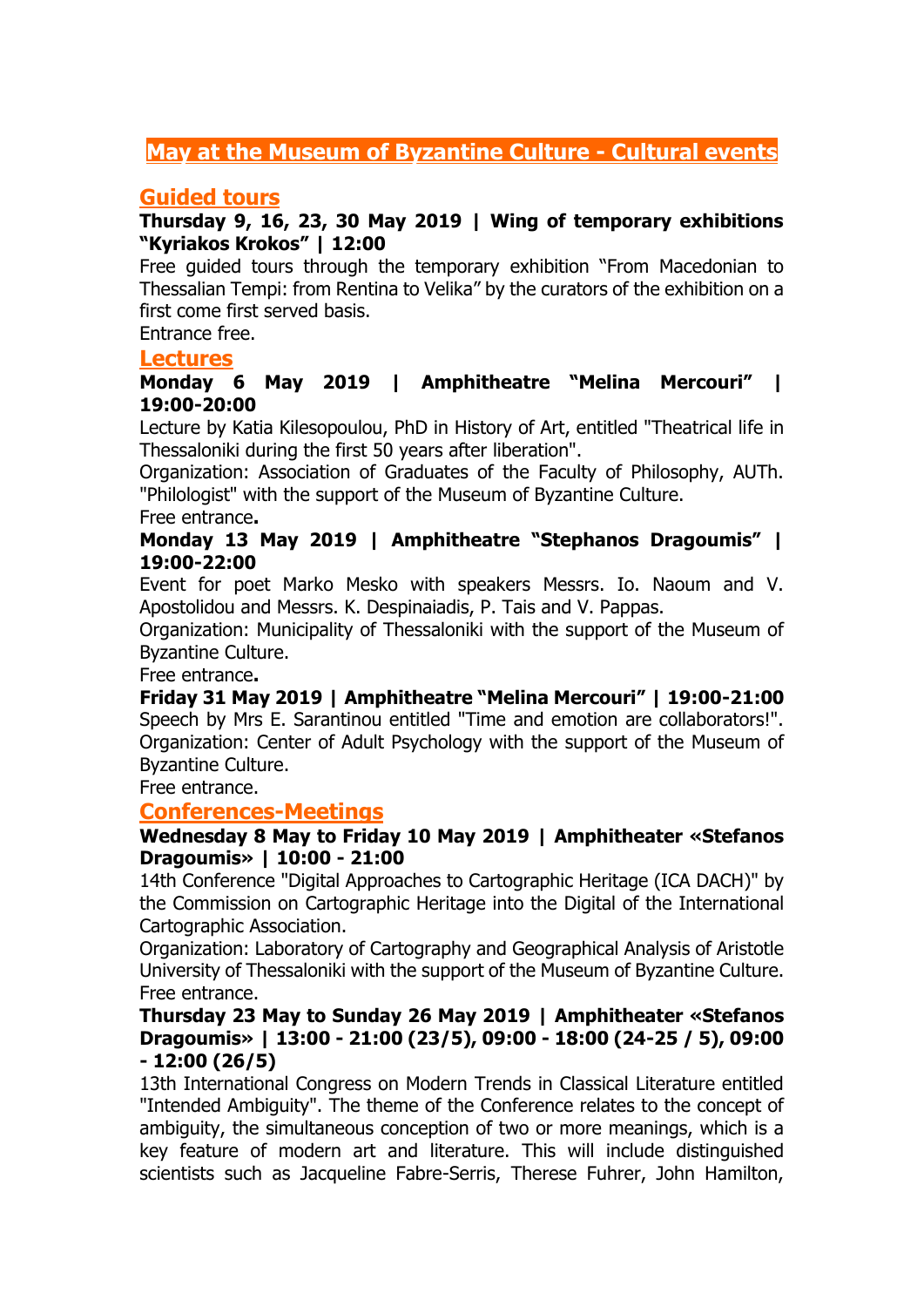# **May at the Museum of Byzantine Culture - Cultural events**

### **Guided tours**

### **Thursday 9, 16, 23, 30 May 2019 | Wing of temporary exhibitions "Kyriakos Krokos" | 12:00**

Free guided tours through the temporary exhibition "From Macedonian to Thessalian Tempi: from Rentina to Velika" by the curators of the exhibition on a first come first served basis.

Entrance free.

#### **Lectures**

### **Monday 6 May 2019 | Amphitheatre "Melina Mercouri" | 19:00-20:00**

Lecture by Katia Kilesopoulou, PhD in History of Art, entitled "Theatrical life in Thessaloniki during the first 50 years after liberation".

Organization: Association of Graduates of the Faculty of Philosophy, AUTh. "Philologist" with the support of the Museum of Byzantine Culture.

#### Free entrance**.**

### **Monday 13 May 2019 | Amphitheatre "Stephanos Dragoumis" | 19:00-22:00**

Event for poet Marko Mesko with speakers Messrs. Io. Naoum and V. Apostolidou and Messrs. K. Despinaiadis, P. Tais and V. Pappas.

Organization: Municipality of Thessaloniki with the support of the Museum of Byzantine Culture.

Free entrance**.**

**Friday 31 May 2019 | Amphitheatre "Melina Mercouri" | 19:00-21:00** Speech by Mrs E. Sarantinou entitled "Time and emotion are collaborators!". Organization: Center of Adult Psychology with the support of the Museum of Byzantine Culture.

Free entrance.

### **Conferences-Meetings**

#### **Wednesday 8 May to Friday 10 May 2019 | Amphitheater «Stefanos Dragoumis» | 10:00 - 21:00**

14th Conference "Digital Approaches to Cartographic Heritage (ICA DACH)" by the Commission on Cartographic Heritage into the Digital of the International Cartographic Association.

Organization: Laboratory of Cartography and Geographical Analysis of Aristotle University of Thessaloniki with the support of the Museum of Byzantine Culture. Free entrance.

#### **Thursday 23 May to Sunday 26 May 2019 | Amphitheater «Stefanos Dragoumis» | 13:00 - 21:00 (23/5), 09:00 - 18:00 (24-25 / 5), 09:00 - 12:00 (26/5)**

13th International Congress on Modern Trends in Classical Literature entitled "Intended Ambiguity". The theme of the Conference relates to the concept of ambiguity, the simultaneous conception of two or more meanings, which is a key feature of modern art and literature. This will include distinguished scientists such as Jacqueline Fabre-Serris, Therese Fuhrer, John Hamilton,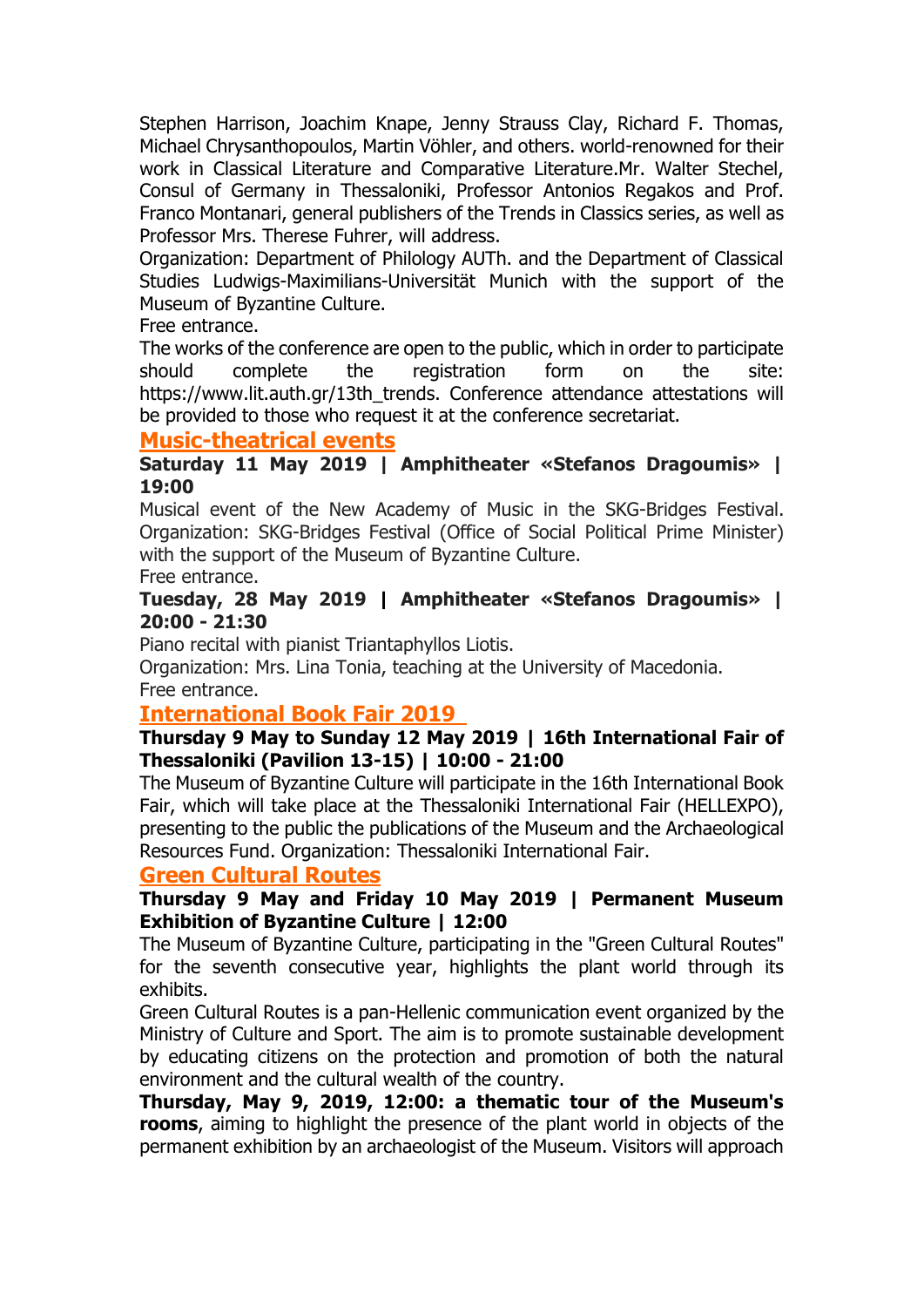Stephen Harrison, Joachim Knape, Jenny Strauss Clay, Richard F. Thomas, Michael Chrysanthopoulos, Martin Vöhler, and others. world-renowned for their work in Classical Literature and Comparative Literature.Mr. Walter Stechel, Consul of Germany in Thessaloniki, Professor Antonios Regakos and Prof. Franco Montanari, general publishers of the Trends in Classics series, as well as Professor Mrs. Therese Fuhrer, will address.

Organization: Department of Philology AUTh. and the Department of Classical Studies Ludwigs-Maximilians-Universität Munich with the support of the Museum of Byzantine Culture.

Free entrance.

The works of the conference are open to the public, which in order to participate should complete the registration form on the site: https://www.lit.auth.gr/13th\_trends. Conference attendance attestations will be provided to those who request it at the conference secretariat.

### **Music-theatrical events**

### **Saturday 11 May 2019 | Amphitheater «Stefanos Dragoumis» | 19:00**

Musical event of the New Academy of Music in the SKG-Bridges Festival. Organization: SKG-Bridges Festival (Office of Social Political Prime Minister) with the support of the Museum of Byzantine Culture.

Free entrance.

### **Tuesday, 28 May 2019 | Amphitheater «Stefanos Dragoumis» | 20:00 - 21:30**

Piano recital with pianist Triantaphyllos Liotis.

Organization: Mrs. Lina Tonia, teaching at the University of Macedonia. Free entrance.

### **International Book Fair 2019**

### **Thursday 9 May to Sunday 12 May 2019 | 16th International Fair of Thessaloniki (Pavilion 13-15) | 10:00 - 21:00**

The Museum of Byzantine Culture will participate in the 16th International Book Fair, which will take place at the Thessaloniki International Fair (HELLEXPO), presenting to the public the publications of the Museum and the Archaeological Resources Fund. Organization: Thessaloniki International Fair.

## **Green Cultural Routes**

### **Thursday 9 May and Friday 10 May 2019 | Permanent Museum Exhibition of Byzantine Culture | 12:00**

The Museum of Byzantine Culture, participating in the "Green Cultural Routes" for the seventh consecutive year, highlights the plant world through its exhibits.

Green Cultural Routes is a pan-Hellenic communication event organized by the Ministry of Culture and Sport. The aim is to promote sustainable development by educating citizens on the protection and promotion of both the natural environment and the cultural wealth of the country.

**Thursday, May 9, 2019, 12:00: a thematic tour of the Museum's rooms**, aiming to highlight the presence of the plant world in objects of the permanent exhibition by an archaeologist of the Museum. Visitors will approach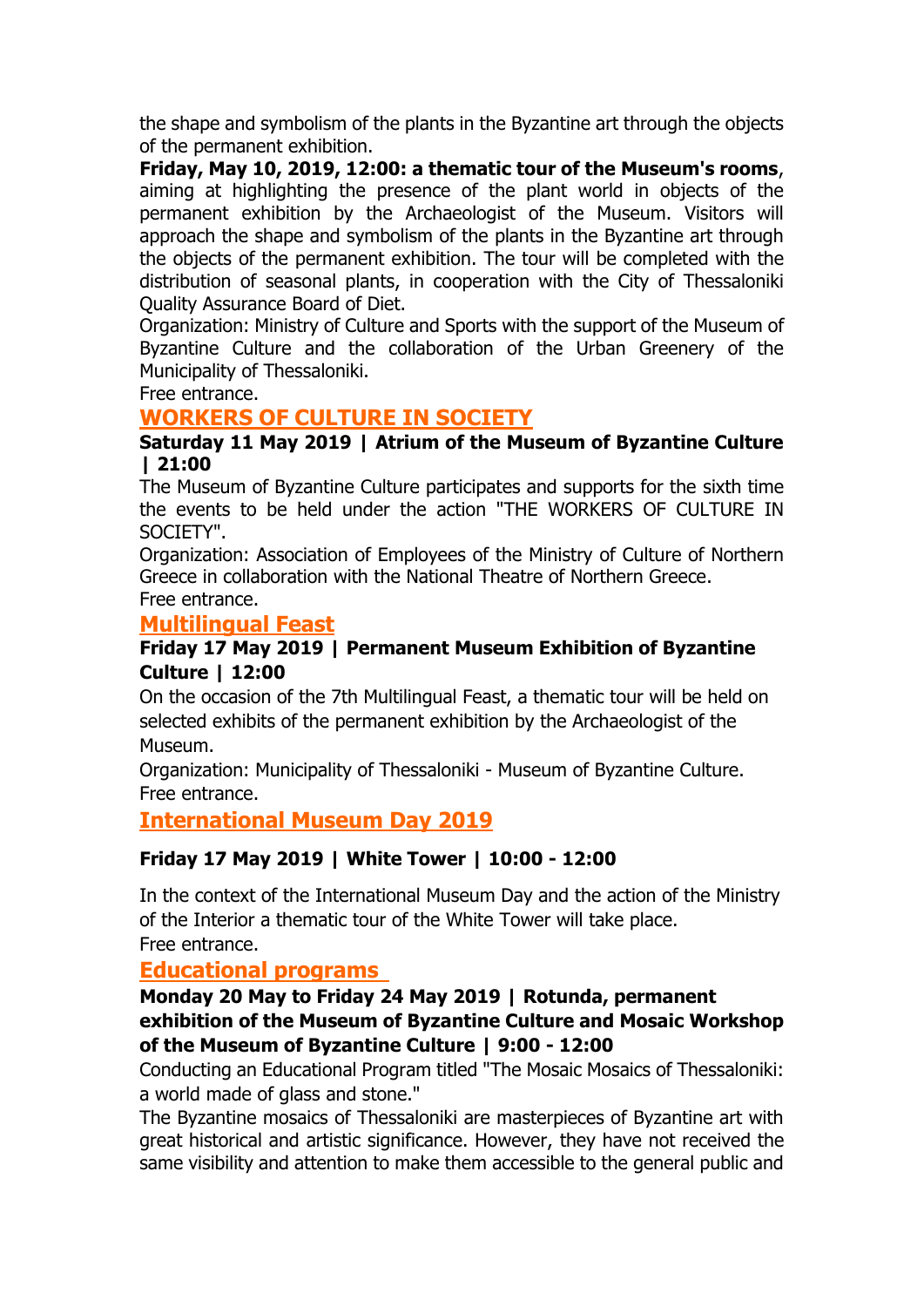the shape and symbolism of the plants in the Byzantine art through the objects of the permanent exhibition.

**Friday, May 10, 2019, 12:00: a thematic tour of the Museum's rooms**, aiming at highlighting the presence of the plant world in objects of the permanent exhibition by the Archaeologist of the Museum. Visitors will approach the shape and symbolism of the plants in the Byzantine art through the objects of the permanent exhibition. The tour will be completed with the distribution of seasonal plants, in cooperation with the City of Thessaloniki Quality Assurance Board of Diet.

Organization: Ministry of Culture and Sports with the support of the Museum of Byzantine Culture and the collaboration of the Urban Greenery of the Municipality of Thessaloniki.

Free entrance.

## **WORKERS OF CULTURE IN SOCIETY**

### **Saturday 11 May 2019 | Atrium of the Museum of Byzantine Culture | 21:00**

The Museum of Byzantine Culture participates and supports for the sixth time the events to be held under the action "THE WORKERS OF CULTURE IN SOCIETY".

Organization: Association of Employees of the Ministry of Culture of Northern Greece in collaboration with the National Theatre of Northern Greece. Free entrance.

## **Multilingual Feast**

### **Friday 17 May 2019 | Permanent Museum Exhibition of Byzantine Culture | 12:00**

On the occasion of the 7th Multilingual Feast, a thematic tour will be held on selected exhibits of the permanent exhibition by the Archaeologist of the Museum.

Organization: Municipality of Thessaloniki - Museum of Byzantine Culture. Free entrance.

# **International Museum Day 2019**

## **Friday 17 May 2019 | White Tower | 10:00 - 12:00**

In the context of the International Museum Day and the action of the Ministry of the Interior a thematic tour of the White Tower will take place. Free entrance.

# **Educational programs**

### **Monday 20 May to Friday 24 May 2019 | Rotunda, permanent exhibition of the Museum of Byzantine Culture and Mosaic Workshop of the Museum of Byzantine Culture | 9:00 - 12:00**

Conducting an Educational Program titled "The Mosaic Mosaics of Thessaloniki: a world made of glass and stone."

The Byzantine mosaics of Thessaloniki are masterpieces of Byzantine art with great historical and artistic significance. However, they have not received the same visibility and attention to make them accessible to the general public and